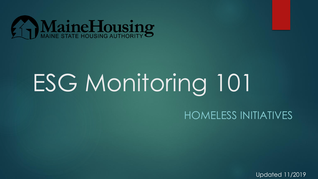

# ESG Monitoring 101

#### HOMELESS INITIATIVES

Updated 11/2019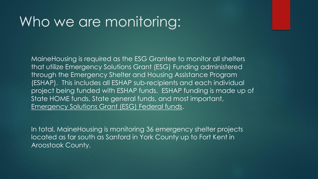#### Who we are monitoring:

MaineHousing is required as the ESG Grantee to monitor all shelters that utilize Emergency Solutions Grant (ESG) Funding administered through the Emergency Shelter and Housing Assistance Program (ESHAP). This includes all ESHAP sub-recipients and each individual project being funded with ESHAP funds. ESHAP funding is made up of State HOME funds, State general funds, and most important, Emergency Solutions Grant (ESG) Federal funds.

In total, MaineHousing is monitoring 36 emergency shelter projects located as far south as Sanford in York County up to Fort Kent in Aroostook County.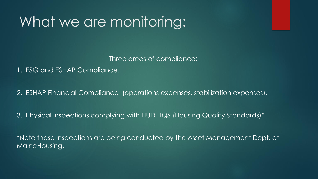### What we are monitoring:

Three areas of compliance:

1. ESG and ESHAP Compliance.

2. ESHAP Financial Compliance (operations expenses, stabilization expenses).

3. Physical inspections complying with HUD HQS (Housing Quality Standards)\*.

\*Note these inspections are being conducted by the Asset Management Dept. at MaineHousing.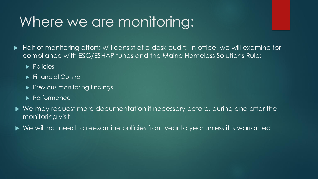### Where we are monitoring:

 Half of monitoring efforts will consist of a desk audit: In office, we will examine for compliance with ESG/ESHAP funds and the Maine Homeless Solutions Rule:

- **Policies**
- ▶ Financial Control
- $\blacktriangleright$  Previous monitoring findings
- **Performance**
- ▶ We may request more documentation if necessary before, during and after the monitoring visit.
- ▶ We will not need to reexamine policies from year to year unless it is warranted.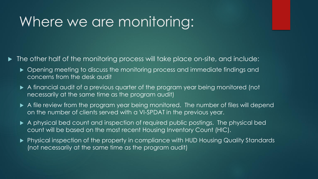### Where we are monitoring:

 $\blacktriangleright$  The other half of the monitoring process will take place on-site, and include:

- $\triangleright$  Opening meeting to discuss the monitoring process and immediate findings and concerns from the desk audit
- A financial audit of a previous quarter of the program year being monitored (not necessarily at the same time as the program audit)
- A file review from the program year being monitored. The number of files will depend on the number of clients served with a VI-SPDAT in the previous year.
- A physical bed count and inspection of required public postings. The physical bed count will be based on the most recent Housing Inventory Count (HIC).
- Physical inspection of the property in compliance with HUD Housing Quality Standards (not necessarily at the same time as the program audit)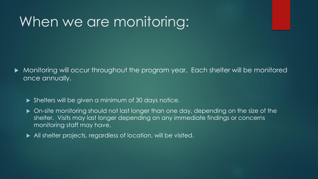#### When we are monitoring:

- Monitoring will occur throughout the program year. Each shelter will be monitored once annually.
	- Shelters will be given a minimum of 30 days notice.
	- $\triangleright$  On-site monitoring should not last longer than one day, depending on the size of the shelter. Visits may last longer depending on any immediate findings or concerns monitoring staff may have.
	- All shelter projects, regardless of location, will be visited.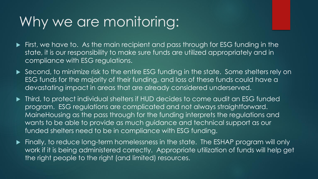### Why we are monitoring:

- First, we have to. As the main recipient and pass through for ESG funding in the state, it is our responsibility to make sure funds are utilized appropriately and in compliance with ESG regulations.
- Second, to minimize risk to the entire ESG funding in the state. Some shelters rely on ESG funds for the majority of their funding, and loss of these funds could have a devastating impact in areas that are already considered underserved.
- $\blacktriangleright$  Third, to protect individual shelters if HUD decides to come audit an ESG funded program. ESG regulations are complicated and not always straightforward. MaineHousing as the pass through for the funding interprets the regulations and wants to be able to provide as much guidance and technical support as our funded shelters need to be in compliance with ESG funding.
- Finally, to reduce long-term homelessness in the state. The ESHAP program will only work if it is being administered correctly. Appropriate utilization of funds will help get the right people to the right (and limited) resources.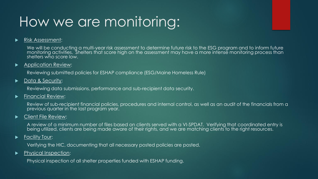## How we are monitoring:

#### Risk Assessment:

We will be conducting a multi-year risk assessment to determine future risk to the ESG program and to inform future monitoring activities. Shelters that score high on the assessment may have a more intense monitoring process than shelters who score low.

#### **Application Review:**

Reviewing submitted policies for ESHAP compliance (ESG/Maine Homeless Rule)

Data & Security:

Reviewing data submissions, performance and sub-recipient data security.

 $\blacktriangleright$  Financial Review:

Review of sub-recipient financial policies, procedures and internal control, as well as an audit of the financials from a previous quarter in the last program year.

#### **EXECT** Client File Review:

A review of a minimum number of files based on clients served with a VI-SPDAT. Verifying that coordinated entry is being utilized, clients are being made aware of their rights, and we are matching clients to the right resources.

#### **Facility Tour:**

Verifying the HIC, documenting that all necessary posted policies are posted.

**Physical Inspection:** 

Physical inspection of all shelter properties funded with ESHAP funding.